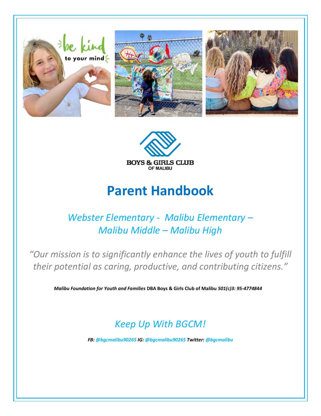



# **Parent Handbook**

### *Webster Elementary - Malibu Elementary – Malibu Middle – Malibu High*

*"Our mission is to significantly enhance the lives of youth to fulfill their potential as caring, productive, and contributing citizens."*

*Malibu Foundation for Youth and Families* **DBA Boys & Girls Club of Malibu** *501(c)3: 95-4774844*

### *Keep Up With BGCM!*

*FB: [@bgcmalibu90265](https://www.facebook.com/BGCMalibu90265/) IG: [@bgcmalibu90265](https://www.instagram.com/bgcmalibu90265/) Twitter: [@bgcmalibu](https://twitter.com/bgcmalibu)*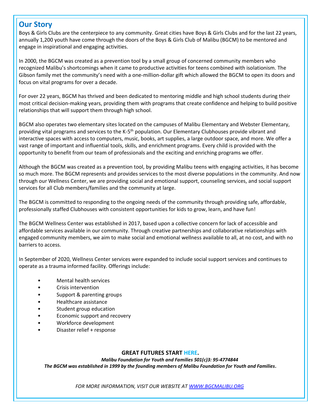#### **Our Story**

Boys & Girls Clubs are the centerpiece to any community. Great cities have Boys & Girls Clubs and for the last 22 years, annually 1,200 youth have come through the doors of the Boys & Girls Club of Malibu (BGCM) to be mentored and engage in inspirational and engaging activities.

In 2000, the BGCM was created as a prevention tool by a small group of concerned community members who recognized Malibu's shortcomings when it came to productive activities for teens combined with isolationism. The Gibson family met the community's need with a one-million-dollar gift which allowed the BGCM to open its doors and focus on vital programs for over a decade.

For over 22 years, BGCM has thrived and been dedicated to mentoring middle and high school students during their most critical decision-making years, providing them with programs that create confidence and helping to build positive relationships that will support them through high school.

BGCM also operates two elementary sites located on the campuses of Malibu Elementary and Webster Elementary, providing vital programs and services to the K-5<sup>th</sup> population. Our Elementary Clubhouses provide vibrant and interactive spaces with access to computers, music, books, art supplies, a large outdoor space, and more. We offer a vast range of important and influential tools, skills, and enrichment programs. Every child is provided with the opportunity to benefit from our team of professionals and the exciting and enriching programs we offer.

Although the BGCM was created as a prevention tool, by providing Malibu teens with engaging activities, it has become so much more. The BGCM represents and provides services to the most diverse populations in the community. And now through our Wellness Center, we are providing social and emotional support, counseling services, and social support services for all Club members/families and the community at large.

The BGCM is committed to responding to the ongoing needs of the community through providing safe, affordable, professionally staffed Clubhouses with consistent opportunities for kids to grow, learn, and have fun!

The BGCM Wellness Center was established in 2017, based upon a collective concern for lack of accessible and affordable services available in our community. Through creative partnerships and collaborative relationships with engaged community members, we aim to make social and emotional wellness available to all, at no cost, and with no barriers to access.

In September of 2020, Wellness Center services were expanded to include social support services and continues to operate as a trauma informed facility. Offerings include:

- Mental health services
- Crisis intervention
- Support & parenting groups
- Healthcare assistance
- Student group education
- Economic support and recovery
- Workforce development
- Disaster relief + response

#### **GREAT FUTURES START HERE.**

*Malibu Foundation for Youth and Families 501(c)3: 95-4774844 The BGCM was established in 1999 by the founding members of Malibu Foundation for Youth and Families.*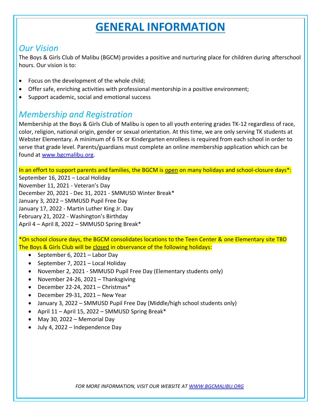## **GENERAL INFORMATION**

#### *Our Vision*

The Boys & Girls Club of Malibu (BGCM) provides a positive and nurturing place for children during afterschool hours. Our vision is to:

- Focus on the development of the whole child;
- Offer safe, enriching activities with professional mentorship in a positive environment;
- Support academic, social and emotional success

### *Membership and Registration*

Membership at the Boys & Girls Club of Malibu is open to all youth entering grades TK-12 regardless of race, color, religion, national origin, gender or sexual orientation. At this time, we are only serving TK students at Webster Elementary. A minimum of 6 TK or Kindergarten enrollees is required from each school in order to serve that grade level. Parents/guardians must complete an online membership application which can be found at [www.bgcmalibu.org.](https://bgcmalibu.org/)

In an effort to support parents and families, the BGCM is open on many holidays and school-closure days\*: September 16, 2021 – Local Holiday

November 11, 2021 - Veteran's Day December 20, 2021 - Dec 31, 2021 - SMMUSD Winter Break\* January 3, 2022 – SMMUSD Pupil Free Day January 17, 2022 - Martin Luther King Jr. Day February 21, 2022 - Washington's Birthday April 4 – April 8, 2022 – SMMUSD Spring Break\*

\*On school closure days, the BGCM consolidates locations to the Teen Center & one Elementary site TBD The Boys & Girls Club will be closed in observance of the following holidays:

- September 6, 2021 Labor Day
- September 7, 2021 Local Holiday
- November 2, 2021 SMMUSD Pupil Free Day (Elementary students only)
- November 24-26, 2021 Thanksgiving
- December 22-24, 2021 Christmas\*
- December 29-31, 2021 New Year
- January 3, 2022 SMMUSD Pupil Free Day (Middle/high school students only)
- April 11 April 15, 2022 SMMUSD Spring Break\*
- May 30, 2022 Memorial Day
- July 4, 2022 Independence Day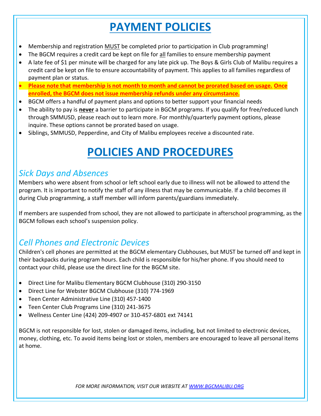# **PAYMENT POLICIES**

- Membership and registration MUST be completed prior to participation in Club programming!
- The BGCM requires a credit card be kept on file for all families to ensure membership payment
- A late fee of \$1 per minute will be charged for any late pick up. The Boys & Girls Club of Malibu requires a credit card be kept on file to ensure accountability of payment. This applies to all families regardless of payment plan or status.
- **Please note that membership is not month to month and cannot be prorated based on usage. Once enrolled, the BGCM does not issue membership refunds under any circumstance.**
- BGCM offers a handful of payment plans and options to better support your financial needs
- The ability to pay is **never** a barrier to participate in BGCM programs. If you qualify for free/reduced lunch through SMMUSD, please reach out to learn more. For monthly/quarterly payment options, please inquire. These options cannot be prorated based on usage.
- Siblings, SMMUSD, Pepperdine, and City of Malibu employees receive a discounted rate.

## **POLICIES AND PROCEDURES**

#### *Sick Days and Absences*

Members who were absent from school or left school early due to illness will not be allowed to attend the program. It is important to notify the staff of any illness that may be communicable. If a child becomes ill during Club programming, a staff member will inform parents/guardians immediately.

If members are suspended from school, they are not allowed to participate in afterschool programming, as the BGCM follows each school's suspension policy.

#### *Cell Phones and Electronic Devices*

Children's cell phones are permitted at the BGCM elementary Clubhouses, but MUST be turned off and kept in their backpacks during program hours. Each child is responsible for his/her phone. If you should need to contact your child, please use the direct line for the BGCM site.

- Direct Line for Malibu Elementary BGCM Clubhouse (310) 290-3150
- Direct Line for Webster BGCM Clubhouse (310) 774-1969
- Teen Center Administrative Line (310) 457-1400
- Teen Center Club Programs Line (310) 241-3675
- Wellness Center Line (424) 209-4907 or 310-457-6801 ext 74141

BGCM is not responsible for lost, stolen or damaged items, including, but not limited to electronic devices, money, clothing, etc. To avoid items being lost or stolen, members are encouraged to leave all personal items at home.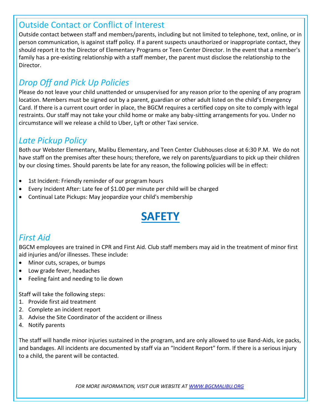#### Outside Contact or Conflict of Interest

Outside contact between staff and members/parents, including but not limited to telephone, text, online, or in person communication, is against staff policy. If a parent suspects unauthorized or inappropriate contact, they should report it to the Director of Elementary Programs or Teen Center Director. In the event that a member's family has a pre-existing relationship with a staff member, the parent must disclose the relationship to the Director.

### *Drop Off and Pick Up Policies*

Please do not leave your child unattended or unsupervised for any reason prior to the opening of any program location. Members must be signed out by a parent, guardian or other adult listed on the child's Emergency Card. If there is a current court order in place, the BGCM requires a certified copy on site to comply with legal restraints. Our staff may not take your child home or make any baby-sitting arrangements for you. Under no circumstance will we release a child to Uber, Lyft or other Taxi service.

#### *Late Pickup Policy*

Both our Webster Elementary, Malibu Elementary, and Teen Center Clubhouses close at 6:30 P.M. We do not have staff on the premises after these hours; therefore, we rely on parents/guardians to pick up their children by our closing times. Should parents be late for any reason, the following policies will be in effect:

- 1st Incident: Friendly reminder of our program hours
- Every Incident After: Late fee of \$1.00 per minute per child will be charged
- Continual Late Pickups: May jeopardize your child's membership

# **SAFETY**

#### *First Aid*

BGCM employees are trained in CPR and First Aid. Club staff members may aid in the treatment of minor first aid injuries and/or illnesses. These include:

- Minor cuts, scrapes, or bumps
- Low grade fever, headaches
- Feeling faint and needing to lie down

Staff will take the following steps:

- 1. Provide first aid treatment
- 2. Complete an incident report
- 3. Advise the Site Coordinator of the accident or illness
- 4. Notify parents

The staff will handle minor injuries sustained in the program, and are only allowed to use Band-Aids, ice packs, and bandages. All incidents are documented by staff via an "Incident Report" form. If there is a serious injury to a child, the parent will be contacted.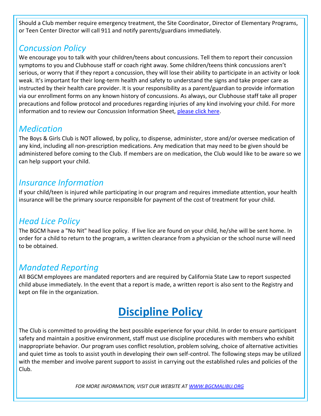Should a Club member require emergency treatment, the Site Coordinator, Director of Elementary Programs, or Teen Center Director will call 911 and notify parents/guardians immediately.

#### *Concussion Policy*

We encourage you to talk with your children/teens about concussions. Tell them to report their concussion symptoms to you and Clubhouse staff or coach right away. Some children/teens think concussions aren't serious, or worry that if they report a concussion, they will lose their ability to participate in an activity or look weak. It's important for their long-term health and safety to understand the signs and take proper care as instructed by their health care provider. It is your responsibility as a parent/guardian to provide information via our enrollment forms on any known history of concussions. As always, our Clubhouse staff take all proper precautions and follow protocol and procedures regarding injuries of any kind involving your child. For more information and to review our Concussion Information Sheet, [please click here.](https://bgcmalibu.org/wp-content/uploads/2022/05/BGCM-Concussion-Info-Sheet_Parent-Copy.pdf)

#### *Medication*

The Boys & Girls Club is NOT allowed, by policy, to dispense, administer, store and/or oversee medication of any kind, including all non-prescription medications. Any medication that may need to be given should be administered before coming to the Club. If members are on medication, the Club would like to be aware so we can help support your child.

#### *Insurance Information*

If your child/teen is injured while participating in our program and requires immediate attention, your health insurance will be the primary source responsible for payment of the cost of treatment for your child.

#### *Head Lice Policy*

The BGCM have a "No Nit" head lice policy. If live lice are found on your child, he/she will be sent home. In order for a child to return to the program, a written clearance from a physician or the school nurse will need to be obtained.

#### *Mandated Reporting*

All BGCM employees are mandated reporters and are required by California State Law to report suspected child abuse immediately. In the event that a report is made, a written report is also sent to the Registry and kept on file in the organization.

# **Discipline Policy**

The Club is committed to providing the best possible experience for your child. In order to ensure participant safety and maintain a positive environment, staff must use discipline procedures with members who exhibit inappropriate behavior. Our program uses conflict resolution, problem solving, choice of alternative activities and quiet time as tools to assist youth in developing their own self-control. The following steps may be utilized with the member and involve parent support to assist in carrying out the established rules and policies of the Club.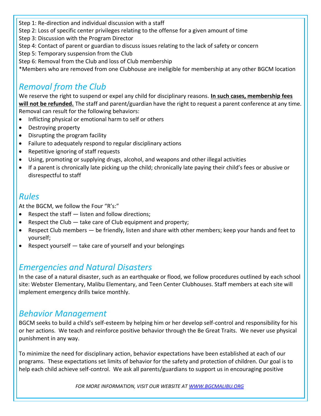Step 1: Re-direction and individual discussion with a staff

Step 2: Loss of specific center privileges relating to the offense for a given amount of time

Step 3: Discussion with the Program Director

Step 4: Contact of parent or guardian to discuss issues relating to the lack of safety or concern

Step 5: Temporary suspension from the Club

Step 6: Removal from the Club and loss of Club membership

\*Members who are removed from one Clubhouse are ineligible for membership at any other BGCM location

### *Removal from the Club*

We reserve the right to suspend or expel any child for disciplinary reasons. **In such cases, membership fees will not be refunded.** The staff and parent/guardian have the right to request a parent conference at any time. Removal can result for the following behaviors:

- Inflicting physical or emotional harm to self or others
- Destroying property
- Disrupting the program facility
- Failure to adequately respond to regular disciplinary actions
- Repetitive ignoring of staff requests
- Using, promoting or supplying drugs, alcohol, and weapons and other illegal activities
- If a parent is chronically late picking up the child; chronically late paying their child's fees or abusive or disrespectful to staff

#### *Rules*

At the BGCM, we follow the Four "R's:"

- Respect the staff listen and follow directions;
- Respect the Club take care of Club equipment and property;
- Respect Club members be friendly, listen and share with other members; keep your hands and feet to yourself;
- Respect yourself take care of yourself and your belongings

#### *Emergencies and Natural Disasters*

In the case of a natural disaster, such as an earthquake or flood, we follow procedures outlined by each school site: Webster Elementary, Malibu Elementary, and Teen Center Clubhouses. Staff members at each site will implement emergency drills twice monthly.

#### *Behavior Management*

BGCM seeks to build a child's self-esteem by helping him or her develop self-control and responsibility for his or her actions. We teach and reinforce positive behavior through the Be Great Traits. We never use physical punishment in any way.

To minimize the need for disciplinary action, behavior expectations have been established at each of our programs. These expectations set limits of behavior for the safety and protection of children. Our goal is to help each child achieve self-control. We ask all parents/guardians to support us in encouraging positive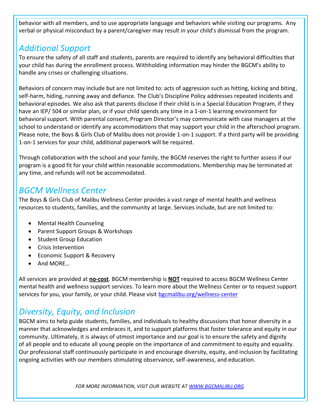behavior with all members, and to use appropriate language and behaviors while visiting our programs. Any verbal or physical misconduct by a parent/caregiver may result in your child's dismissal from the program.

#### *Additional Support*

To ensure the safety of all staff and students, parents are required to identify any behavioral difficulties that your child has during the enrollment process. Withholding information may hinder the BGCM's ability to handle any crises or challenging situations.

Behaviors of concern may include but are not limited to: acts of aggression such as hitting, kicking and biting, self-harm, hiding, running away and defiance. The Club's Discipline Policy addresses repeated incidents and behavioral episodes. We also ask that parents disclose if their child is in a Special Education Program, if they have an IEP/ 504 or similar plan, or if your child spends any time in a 1-on-1 learning environment for behavioral support. With parental consent, Program Director's may communicate with case managers at the school to understand or identify any accommodations that may support your child in the afterschool program. Please note, the Boys & Girls Club of Malibu does not provide 1-on-1 support. If a third party will be providing 1-on-1 services for your child, additional paperwork will be required.

Through collaboration with the school and your family, the BGCM reserves the right to further assess if our program is a good fit for your child within reasonable accommodations. Membership may be terminated at any time, and refunds will not be accommodated.

#### *BGCM Wellness Center*

The Boys & Girls Club of Malibu Wellness Center provides a vast range of mental health and wellness resources to students, families, and the community at large. Services include, but are not limited to:

- Mental Health Counseling
- Parent Support Groups & Workshops
- Student Group Education
- Crisis Intervention
- Economic Support & Recovery
- And MORE...

All services are provided at **no-cost**. BGCM membership is **NOT** required to access BGCM Wellness Center mental health and wellness support services. To learn more about the Wellness Center or to request support services for you, your family, or your child. Please visit [bgcmalibu.org/wellness-center](https://bgcmalibu.org/wellness-center/)

### *Diversity, Equity, and Inclusion*

BGCM aims to help guide students, families, and individuals to healthy discussions that honor diversity in a manner that acknowledges and embraces it, and to support platforms that foster tolerance and equity in our community. Ultimately, it is always of utmost importance and our goal is to ensure the safety and dignity of all people and to educate all young people on the importance of and commitment to equity and equality. Our professional staff continuously participate in and encourage diversity, equity, and inclusion by facilitating ongoing activities with our members stimulating observance, self-awareness, and education.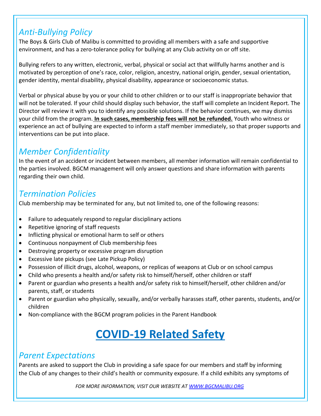#### *Anti-Bullying Policy*

The Boys & Girls Club of Malibu is committed to providing all members with a safe and supportive environment, and has a zero-tolerance policy for bullying at any Club activity on or off site.

Bullying refers to any written, electronic, verbal, physical or social act that willfully harms another and is motivated by perception of one's race, color, religion, ancestry, national origin, gender, sexual orientation, gender identity, mental disability, physical disability, appearance or socioeconomic status.

Verbal or physical abuse by you or your child to other children or to our staff is inappropriate behavior that will not be tolerated. If your child should display such behavior, the staff will complete an Incident Report. The Director will review it with you to identify any possible solutions. If the behavior continues, we may dismiss your child from the program. **In such cases, membership fees will not be refunded.** Youth who witness or experience an act of bullying are expected to inform a staff member immediately, so that proper supports and interventions can be put into place.

### *Member Confidentiality*

In the event of an accident or incident between members, all member information will remain confidential to the parties involved. BGCM management will only answer questions and share information with parents regarding their own child.

#### *Termination Policies*

Club membership may be terminated for any, but not limited to, one of the following reasons:

- Failure to adequately respond to regular disciplinary actions
- Repetitive ignoring of staff requests
- Inflicting physical or emotional harm to self or others
- Continuous nonpayment of Club membership fees
- Destroying property or excessive program disruption
- Excessive late pickups (see Late Pickup Policy)
- Possession of illicit drugs, alcohol, weapons, or replicas of weapons at Club or on school campus
- Child who presents a health and/or safety risk to himself/herself, other children or staff
- Parent or guardian who presents a health and/or safety risk to himself/herself, other children and/or parents, staff, or students
- Parent or guardian who physically, sexually, and/or verbally harasses staff, other parents, students, and/or children
- Non-compliance with the BGCM program policies in the Parent Handbook

# **COVID-19 Related Safety**

#### *Parent Expectations*

Parents are asked to support the Club in providing a safe space for our members and staff by informing the Club of any changes to their child's health or community exposure. If a child exhibits any symptoms of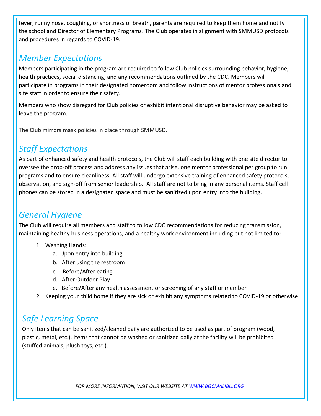fever, runny nose, coughing, or shortness of breath, parents are required to keep them home and notify the school and Director of Elementary Programs. The Club operates in alignment with SMMUSD protocols and procedures in regards to COVID-19.

#### *Member Expectations*

Members participating in the program are required to follow Club policies surrounding behavior, hygiene, health practices, social distancing, and any recommendations outlined by the CDC. Members will participate in programs in their designated homeroom and follow instructions of mentor professionals and site staff in order to ensure their safety.

Members who show disregard for Club policies or exhibit intentional disruptive behavior may be asked to leave the program.

The Club mirrors mask policies in place through SMMUSD.

### *Staff Expectations*

As part of enhanced safety and health protocols, the Club will staff each building with one site director to oversee the drop-off process and address any issues that arise, one mentor professional per group to run programs and to ensure cleanliness. All staff will undergo extensive training of enhanced safety protocols, observation, and sign‐off from senior leadership. All staff are not to bring in any personal items. Staff cell phones can be stored in a designated space and must be sanitized upon entry into the building.

#### *General Hygiene*

The Club will require all members and staff to follow CDC recommendations for reducing transmission, maintaining healthy business operations, and a healthy work environment including but not limited to:

- 1. Washing Hands:
	- a. Upon entry into building
	- b. After using the restroom
	- c. Before/After eating
	- d. After Outdoor Play
	- e. Before/After any health assessment or screening of any staff or member
- 2. Keeping your child home if they are sick or exhibit any symptoms related to COVID-19 or otherwise

#### *Safe Learning Space*

Only items that can be sanitized/cleaned daily are authorized to be used as part of program (wood, plastic, metal, etc.). Items that cannot be washed or sanitized daily at the facility will be prohibited (stuffed animals, plush toys, etc.).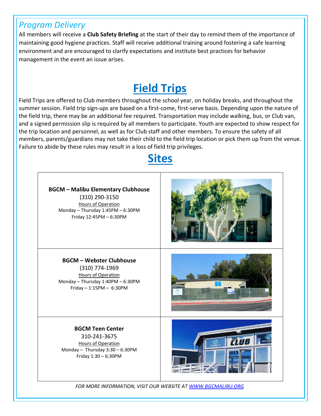#### *Program Delivery*

All members will receive a **Club Safety Briefing** at the start of their day to remind them of the importance of maintaining good hygiene practices. Staff will receive additional training around fostering a safe learning environment and are encouraged to clarify expectations and institute best practices for behavior management in the event an issue arises.

## **Field Trips**

Field Trips are offered to Club members throughout the school year, on holiday breaks, and throughout the summer session. Field trip sign-ups are based on a first-come, first-serve basis. Depending upon the nature of the field trip, there may be an additional fee required. Transportation may include walking, bus, or Club van, and a signed permission slip is required by all members to participate. Youth are expected to show respect for the trip location and personnel, as well as for Club staff and other members. To ensure the safety of all members, parents/guardians may not take their child to the field trip location or pick them up from the venue. Failure to abide by these rules may result in a loss of field trip privileges.